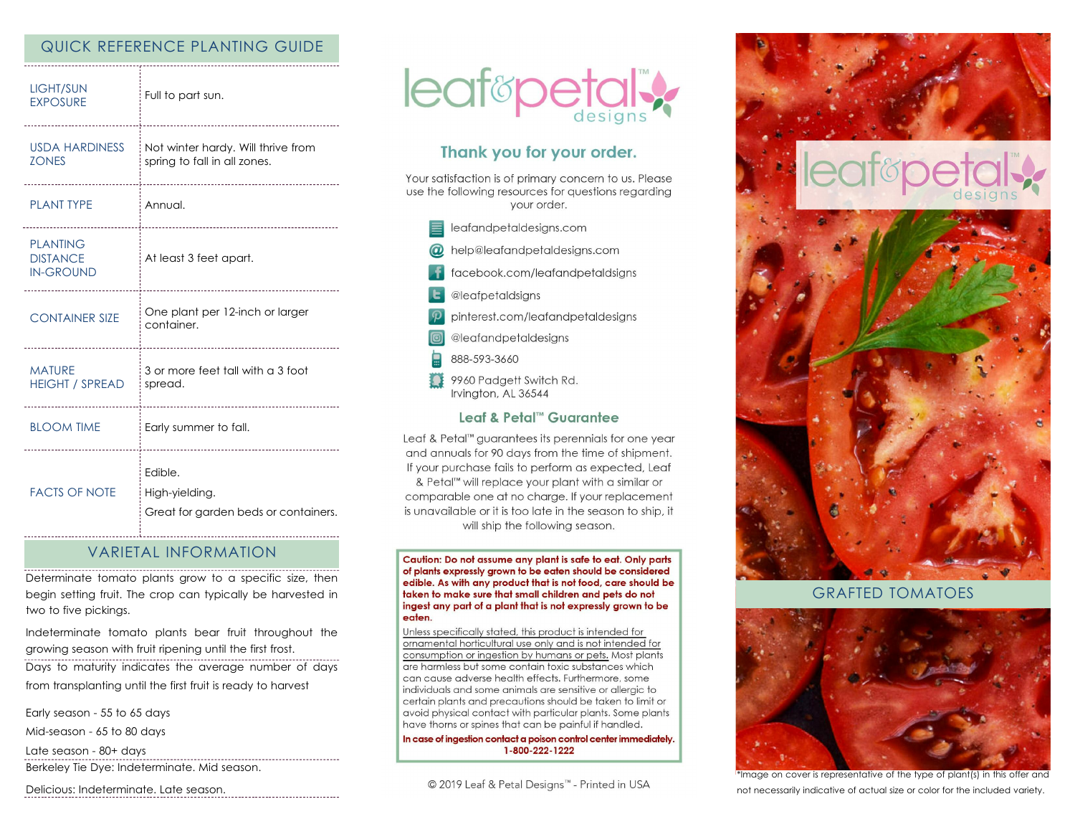## QUICK REFERENCE PLANTING GUIDE

| <b>LIGHT/SUN</b><br><b>EXPOSURE</b>                    | Full to part sun.                                                  |
|--------------------------------------------------------|--------------------------------------------------------------------|
| <b>USDA HARDINESS</b><br><b>ZONES</b>                  | Not winter hardy. Will thrive from<br>spring to fall in all zones. |
| <b>PLANT TYPE</b><br>-------------------------         | Annual.<br>------------------------------                          |
| <b>PLANTING</b><br><b>DISTANCE</b><br><b>IN-GROUND</b> | At least 3 feet apart.                                             |
| <b>CONTAINER SIZE</b>                                  | One plant per 12-inch or larger<br>container.                      |
| <b>MATURE</b><br><b>HEIGHT / SPREAD</b>                | 3 or more feet tall with a 3 foot<br>spread.                       |
| <b>BLOOM TIME</b>                                      | Early summer to fall.<br>-------------------------------------     |
| <b>FACTS OF NOTE</b>                                   | Edible.<br>High-yielding.<br>Great for garden beds or containers.  |

#### VARIETAL INFORMATION

Determinate tomato plants grow to a specific size, then begin setting fruit. The crop can typically be harvested in two to five pickings.

Indeterminate tomato plants bear fruit throughout the growing season with fruit ripening until the first frost.

Days to maturity indicates the average number of days from transplanting until the first fruit is ready to harvest

Early season - 55 to 65 days

Mid-season - 65 to 80 days

Late season - 80+ days

Berkeley Tie Dye: Indeterminate. Mid season.

Delicious: Indeterminate. Late season.



# Thank you for your order.

Your satisfaction is of primary concern to us. Please use the following resources for questions regarding vour order.

- eafandpetaldesigns.com
- @ help@leafandpetaldesigns.com
- facebook.com/leafandpetaldsigns
- **L** @leafpetaldsigns
- pinterest.com/leafandpetaldesigns

@leafandpetaldesigns

- 888-593-3660
- 9960 Padgett Switch Rd. Irvington, AL 36544

#### Leaf & Petal™ Guarantee

Leaf & Petal<sup>™</sup> guarantees its perennials for one year and annuals for 90 days from the time of shipment. If your purchase fails to perform as expected, Leaf & Petal™ will replace your plant with a similar or comparable one at no charge. If your replacement is unavailable or it is too late in the season to ship, it will ship the following season.

Caution: Do not assume any plant is safe to eat. Only parts of plants expressly grown to be eaten should be considered edible. As with any product that is not food, care should be taken to make sure that small children and pets do not ingest any part of a plant that is not expressly grown to be eaten.

Unless specifically stated, this product is intended for ornamental horticultural use only and is not intended for consumption or ingestion by humans or pets. Most plants are harmless but some contain toxic substances which can cause adverse health effects. Furthermore, some individuals and some animals are sensitive or allergic to certain plants and precautions should be taken to limit or avoid physical contact with particular plants. Some plants have thorns or spines that can be painful if handled.

In case of ingestion contact a poison control center immediately. 1-800-222-1222



#### GRAFTED TOMATOES



\*Image on cover is representative of the type of plant(s) in this offer and not necessarily indicative of actual size or color for the included variety.